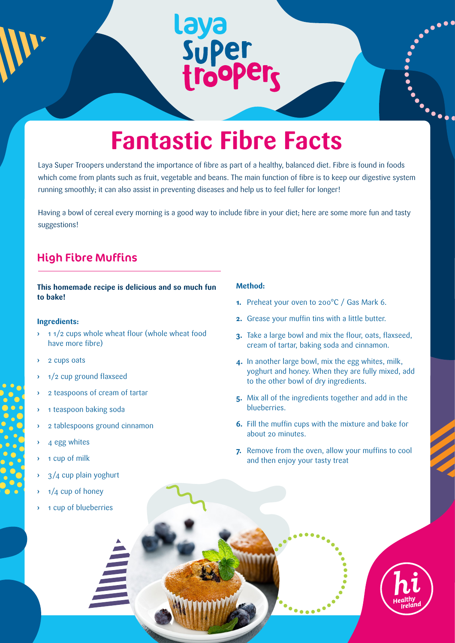## **Fantastic Fibre Facts**

Laya<br>Super<br>trooper<sub>s</sub>

Laya Super Troopers understand the importance of fibre as part of a healthy, balanced diet. Fibre is found in foods which come from plants such as fruit, vegetable and beans. The main function of fibre is to keep our digestive system running smoothly; it can also assist in preventing diseases and help us to feel fuller for longer!

Having a bowl of cereal every morning is a good way to include fibre in your diet; here are some more fun and tasty suggestions!

#### High Fibre Muffins

**This homemade recipe is delicious and so much fun to bake!**

#### **Ingredients:**

- **›** 1 1/2 cups whole wheat flour (whole wheat food have more fibre)
- **›** 2 cups oats
- **›** 1/2 cup ground flaxseed
- **›** 2 teaspoons of cream of tartar
- **›** 1 teaspoon baking soda
- **›** 2 tablespoons ground cinnamon
- **›** 4 egg whites
- **›** 1 cup of milk
- **›** 3/4 cup plain yoghurt
- **›** 1/4 cup of honey
- **›** 1 cup of blueberries

#### **Method:**

- **1.** Preheat your oven to 200°C / Gas Mark 6.
- **2.** Grease your muffin tins with a little butter.
- **3.** Take a large bowl and mix the flour, oats, flaxseed, cream of tartar, baking soda and cinnamon.
- **4.** In another large bowl, mix the egg whites, milk, yoghurt and honey. When they are fully mixed, add to the other bowl of dry ingredients.
- **5.** Mix all of the ingredients together and add in the blueberries.
- **6.** Fill the muffin cups with the mixture and bake for about 20 minutes.
- **7.** Remove from the oven, allow your muffins to cool and then enjoy your tasty treat



**.**<br>....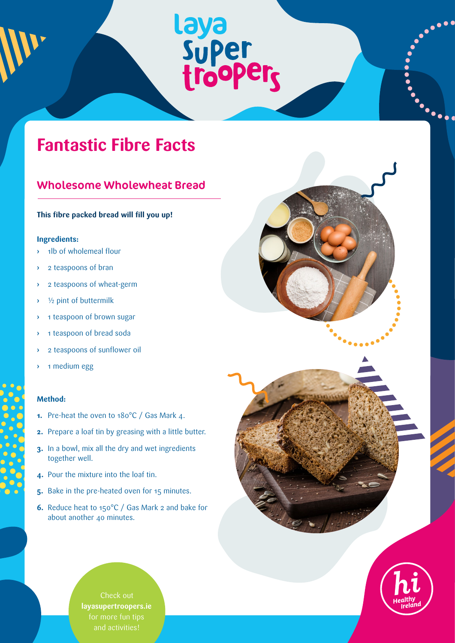# Laya<br>Super<br>trooper<sub>s</sub>

### **Fantastic Fibre Facts**

#### Wholesome Wholewheat Bread

#### **This fibre packed bread will fill you up!**

#### **Ingredients:**

- **›** 1lb of wholemeal flour
- **›** 2 teaspoons of bran
- **›** 2 teaspoons of wheat-germ
- **›** ½ pint of buttermilk
- **›** 1 teaspoon of brown sugar
- **›** 1 teaspoon of bread soda
- **›** 2 teaspoons of sunflower oil
- **›** 1 medium egg

#### **Method:**

- **1.** Pre-heat the oven to 180°C / Gas Mark 4.
- **2.** Prepare a loaf tin by greasing with a little butter.
- **3.** In a bowl, mix all the dry and wet ingredients together well.
- **4.** Pour the mixture into the loaf tin.
- **5.** Bake in the pre-heated oven for 15 minutes.
- **6.** Reduce heat to 150°C / Gas Mark 2 and bake for about another 40 minutes.

Check out **layasupertroopers.ie** and activities!